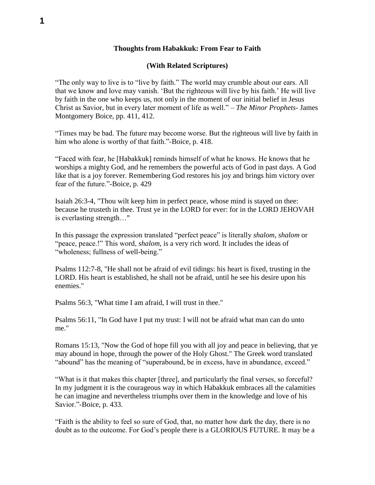## **Thoughts from Habakkuk: From Fear to Faith**

## **(With Related Scriptures)**

"The only way to live is to "live by faith." The world may crumble about our ears. All that we know and love may vanish. 'But the righteous will live by his faith.' He will live by faith in the one who keeps us, not only in the moment of our initial belief in Jesus Christ as Savior, but in every later moment of life as well." – *The Minor Prophets*- James Montgomery Boice, pp. 411, 412.

"Times may be bad. The future may become worse. But the righteous will live by faith in him who alone is worthy of that faith."-Boice, p. 418.

"Faced with fear, he [Habakkuk] reminds himself of what he knows. He knows that he worships a mighty God, and he remembers the powerful acts of God in past days. A God like that is a joy forever. Remembering God restores his joy and brings him victory over fear of the future."-Boice, p. 429

Isaiah 26:3-4, "Thou wilt keep him in perfect peace, whose mind is stayed on thee: because he trusteth in thee. Trust ye in the LORD for ever: for in the LORD JEHOVAH is everlasting strength…"

In this passage the expression translated "perfect peace" is literally *shalom, shalom* or "peace, peace.!" This word, *shalom*, is a very rich word. It includes the ideas of "wholeness; fullness of well-being."

Psalms 112:7-8, "He shall not be afraid of evil tidings: his heart is fixed, trusting in the LORD. His heart is established, he shall not be afraid, until he see his desire upon his enemies."

Psalms 56:3, "What time I am afraid, I will trust in thee."

Psalms 56:11, "In God have I put my trust: I will not be afraid what man can do unto me."

Romans 15:13, "Now the God of hope fill you with all joy and peace in believing, that ye may abound in hope, through the power of the Holy Ghost." The Greek word translated "abound" has the meaning of "superabound, be in excess, have in abundance, exceed."

"What is it that makes this chapter [three], and particularly the final verses, so forceful? In my judgment it is the courageous way in which Habakkuk embraces all the calamities he can imagine and nevertheless triumphs over them in the knowledge and love of his Savior."-Boice, p. 433.

"Faith is the ability to feel so sure of God, that, no matter how dark the day, there is no doubt as to the outcome. For God's people there is a GLORIOUS FUTURE. It may be a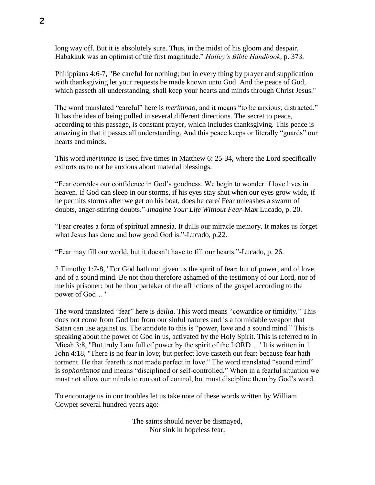long way off. But it is absolutely sure. Thus, in the midst of his gloom and despair, Habakkuk was an optimist of the first magnitude." *Halley's Bible Handbook*, p. 373.

Philippians 4:6-7, "Be careful for nothing; but in every thing by prayer and supplication with thanksgiving let your requests be made known unto God. And the peace of God, which passeth all understanding, shall keep your hearts and minds through Christ Jesus."

The word translated "careful" here is *merimnao*, and it means "to be anxious, distracted." It has the idea of being pulled in several different directions. The secret to peace, according to this passage, is constant prayer, which includes thanksgiving. This peace is amazing in that it passes all understanding. And this peace keeps or literally "guards" our hearts and minds.

This word *merimnao* is used five times in Matthew 6: 25-34, where the Lord specifically exhorts us to not be anxious about material blessings.

"Fear corrodes our confidence in God's goodness. We begin to wonder if love lives in heaven. If God can sleep in our storms, if his eyes stay shut when our eyes grow wide, if he permits storms after we get on his boat, does he care/ Fear unleashes a swarm of doubts, anger-stirring doubts."-*Imagine Your Life Without Fear*-Max Lucado, p. 20.

"Fear creates a form of spiritual amnesia. It dulls our miracle memory. It makes us forget what Jesus has done and how good God is."-Lucado, p.22.

"Fear may fill our world, but it doesn't have to fill our hearts."-Lucado, p. 26.

2 Timothy 1:7-8, "For God hath not given us the spirit of fear; but of power, and of love, and of a sound mind. Be not thou therefore ashamed of the testimony of our Lord, nor of me his prisoner: but be thou partaker of the afflictions of the gospel according to the power of God…"

The word translated "fear" here is *deilia*. This word means "cowardice or timidity." This does not come from God but from our sinful natures and is a formidable weapon that Satan can use against us. The antidote to this is "power, love and a sound mind." This is speaking about the power of God in us, activated by the Holy Spirit. This is referred to in Micah 3:8, "But truly I am full of power by the spirit of the LORD…" It is written in 1 John 4:18, "There is no fear in love; but perfect love casteth out fear: because fear hath torment. He that feareth is not made perfect in love." The word translated "sound mind" is *sophonismos* and means "disciplined or self-controlled." When in a fearful situation we must not allow our minds to run out of control, but must discipline them by God's word.

To encourage us in our troubles let us take note of these words written by William Cowper several hundred years ago:

> The saints should never be dismayed, Nor sink in hopeless fear;